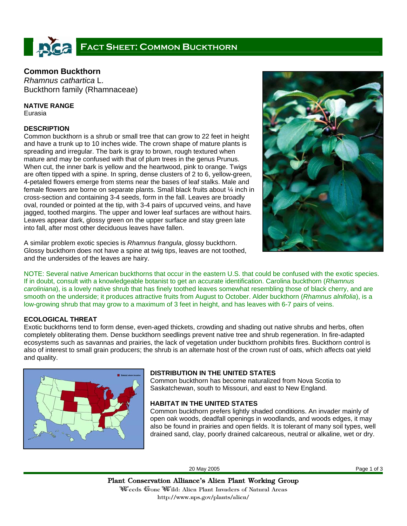# **FACT SHEET: COMMON BUCKTHORN**

# **Common Buckthorn**

*Rhamnus cathartica* L. Buckthorn family (Rhamnaceae)

## **NATIVE RANGE**

Eurasia

### **DESCRIPTION**

Common buckthorn is a shrub or small tree that can grow to 22 feet in height and have a trunk up to 10 inches wide. The crown shape of mature plants is spreading and irregular. The bark is gray to brown, rough textured when mature and may be confused with that of plum trees in the genus Prunus. When cut, the inner bark is yellow and the heartwood, pink to orange. Twigs are often tipped with a spine. In spring, dense clusters of 2 to 6, yellow-green, 4-petaled flowers emerge from stems near the bases of leaf stalks. Male and female flowers are borne on separate plants. Small black fruits about ¼ inch in cross-section and containing 3-4 seeds, form in the fall. Leaves are broadly oval, rounded or pointed at the tip, with 3-4 pairs of upcurved veins, and have jagged, toothed margins. The upper and lower leaf surfaces are without hairs. Leaves appear dark, glossy green on the upper surface and stay green late into fall, after most other deciduous leaves have fallen.



A similar problem exotic species is *Rhamnus frangula*, glossy buckthorn. Glossy buckthorn does not have a spine at twig tips, leaves are not toothed, and the undersides of the leaves are hairy.

NOTE: Several native American buckthorns that occur in the eastern U.S. that could be confused with the exotic species. If in doubt, consult with a knowledgeable botanist to get an accurate identification. Carolina buckthorn (*Rhamnus caroliniana*), is a lovely native shrub that has finely toothed leaves somewhat resembling those of black cherry, and are smooth on the underside; it produces attractive fruits from August to October. Alder buckthorn (*Rhamnus alnifolia*), is a low-growing shrub that may grow to a maximum of 3 feet in height, and has leaves with 6-7 pairs of veins.

# **ECOLOGICAL THREAT**

Exotic buckthorns tend to form dense, even-aged thickets, crowding and shading out native shrubs and herbs, often completely obliterating them. Dense buckthorn seedlings prevent native tree and shrub regeneration. In fire-adapted ecosystems such as savannas and prairies, the lack of vegetation under buckthorn prohibits fires. Buckthorn control is also of interest to small grain producers; the shrub is an alternate host of the crown rust of oats, which affects oat yield and quality.



## **DISTRIBUTION IN THE UNITED STATES**

Common buckthorn has become naturalized from Nova Scotia to Saskatchewan, south to Missouri, and east to New England.

# **HABITAT IN THE UNITED STATES**

Common buckthorn prefers lightly shaded conditions. An invader mainly of open oak woods, deadfall openings in woodlands, and woods edges, it may also be found in prairies and open fields. It is tolerant of many soil types, well drained sand, clay, poorly drained calcareous, neutral or alkaline, wet or dry.

20 May 2005 Page 1 of 3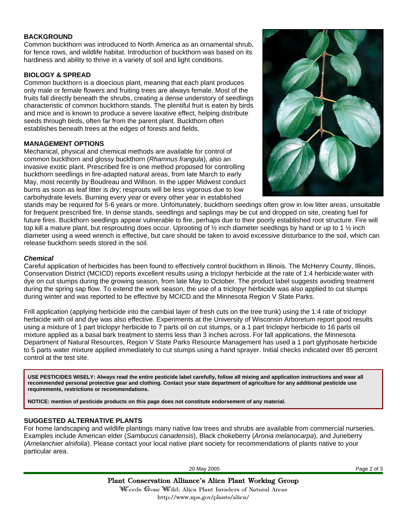#### **BACKGROUND**

Common buckthorn was introduced to North America as an ornamental shrub, for fence rows, and wildlife habitat. Introduction of buckthorn was based on its hardiness and ability to thrive in a variety of soil and light conditions.

#### **BIOLOGY & SPREAD**

Common buckthorn is a dioecious plant, meaning that each plant produces only male or female flowers and fruiting trees are always female. Most of the fruits fall directly beneath the shrubs, creating a dense understory of seedlings characteristic of common buckthorn stands. The plentiful fruit is eaten by birds and mice and is known to produce a severe laxative effect, helping distribute seeds through birds, often far from the parent plant. Buckthorn often establishes beneath trees at the edges of forests and fields.

#### **MANAGEMENT OPTIONS**

Mechanical, physical and chemical methods are available for control of common buckthorn and glossy buckthorn (*Rhamnus frangula*), also an invasive exotic plant. Prescribed fire is one method proposed for controlling buckthorn seedlings in fire-adapted natural areas, from late March to early May, most recently by Boudreau and Willson. In the upper Midwest conduct burns as soon as leaf litter is dry; resprouts will be less vigorous due to low carbohydrate levels. Burning every year or every other year in established



stands may be required for 5-6 years or more. Unfortunately, buckthorn seedings often grow in low litter areas, unsuitable for frequent prescribed fire. In dense stands, seedlings and saplings may be cut and dropped on site, creating fuel for future fires. Buckthorn seedlings appear vulnerable to fire, perhaps due to their poorly established root structure. Fire will top kill a mature plant, but resprouting does occur. Uprooting of  $\frac{1}{2}$  inch diameter seedlings by hand or up to 1  $\frac{1}{2}$  inch diameter using a weed wrench is effective, but care should be taken to avoid excessive disturbance to the soil, which can release buckthorn seeds stored in the soil.

#### *Chemical*

Careful application of herbicides has been found to effectively control buckthorn in Illinois. The McHenry County, Illinois, Conservation District (MCICD) reports excellent results using a triclopyr herbicide at the rate of 1:4 herbicide:water with dye on cut stumps during the growing season, from late May to October. The product label suggests avoiding treatment during the spring sap flow. To extend the work season, the use of a triclopyr herbicide was also applied to cut stumps during winter and was reported to be effective by MCICD and the Minnesota Region V State Parks.

Frill application (applying herbicide into the cambial layer of fresh cuts on the tree trunk) using the 1:4 rate of triclopyr herbicide with oil and dye was also effective. Experiments at the University of Wisconsin Arboretum report good results using a mixture of 1 part triclopyr herbicide to 7 parts oil on cut stumps, or a 1 part triclopyr herbicide to 16 parts oil mixture applied as a basal bark treatment to stems less than 3 inches across. For fall applications, the Minnesota Department of Natural Resources, Region V State Parks Resource Management has used a 1 part glyphosate herbicide to 5 parts water mixture applied immediately to cut stumps using a hand sprayer. Initial checks indicated over 85 percent control at the test site.

**USE PESTICIDES WISELY: Always read the entire pesticide label carefully, follow all mixing and application instructions and wear all recommended personal protective gear and clothing. Contact your state department of agriculture for any additional pesticide use requirements, restrictions or recommendations.** 

**NOTICE: mention of pesticide products on this page does not constitute endorsement of any material.**

#### **SUGGESTED ALTERNATIVE PLANTS**

For home landscaping and wildlife plantings many native low trees and shrubs are available from commercial nurseries. Examples include American elder (*Sambucus canadensis*), Black chokeberry (*Aronia melanocarpa*), and Juneberry (*Amelanchier alnifolia*). Please contact your local native plant society for recommendations of plants native to your particular area.

20 May 2005 Page 2 of 3